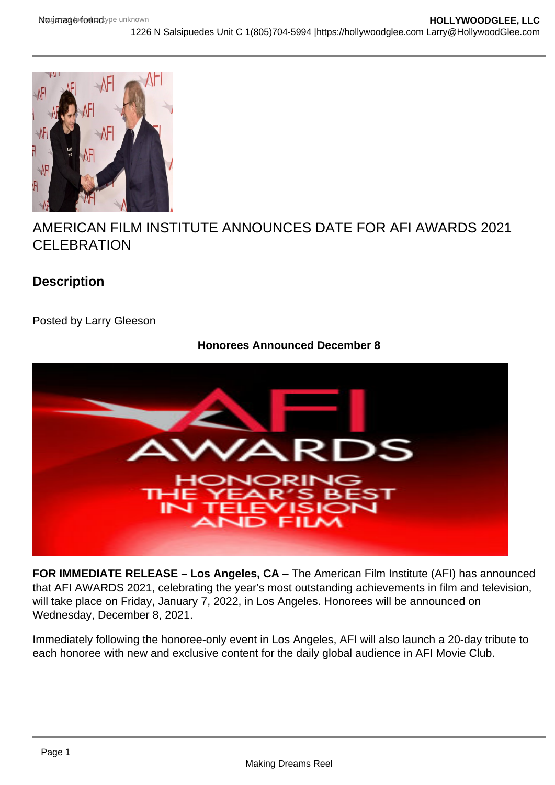## AMERICAN FILM INSTITUTE ANNOUNCES DATE FOR AFI AWARDS 2021 CELEBRATION

**Description** 

Posted by Larry Gleeson

Honorees Announced December 8

FOR IMMEDIATE RELEASE – Los Angeles, CA – The American Film Institute (AFI) has announced that AFI AWARDS 2021, celebrating the year's most outstanding achievements in film and television, will take place on Friday, January 7, 2022, in Los Angeles. Honorees will be announced on Wednesday, December 8, 2021.

Immediately following the honoree-only event in Los Angeles, AFI will also launch a 20-day tribute to each honoree with new and exclusive content for the daily global audience in AFI Movie Club.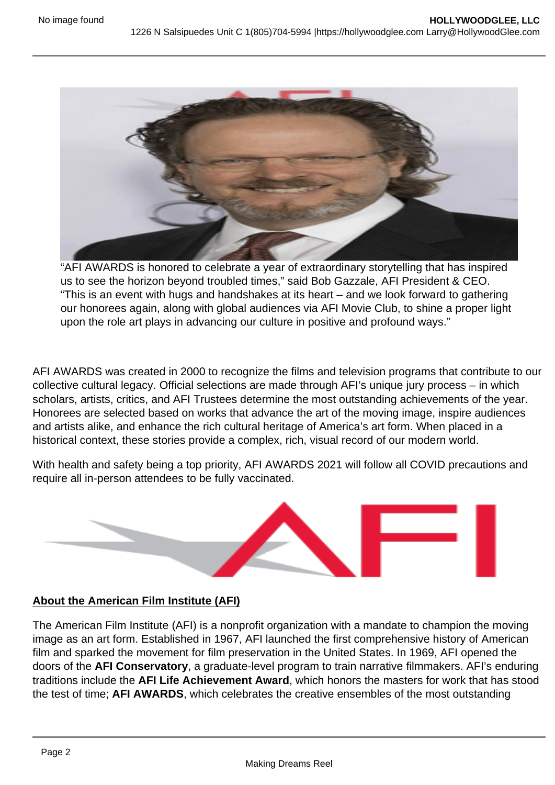"AFI AWARDS is honored to celebrate a year of extraordinary storytelling that has inspired us to see the horizon beyond troubled times," said Bob Gazzale, AFI President & CEO. "This is an event with hugs and handshakes at its heart – and we look forward to gathering our honorees again, along with global audiences via AFI Movie Club, to shine a proper light upon the role art plays in advancing our culture in positive and profound ways."

AFI AWARDS was created in 2000 to recognize the films and television programs that contribute to our collective cultural legacy. Official selections are made through AFI's unique jury process – in which scholars, artists, critics, and AFI Trustees determine the most outstanding achievements of the year. Honorees are selected based on works that advance the art of the moving image, inspire audiences and artists alike, and enhance the rich cultural heritage of America's art form. When placed in a historical context, these stories provide a complex, rich, visual record of our modern world.

With health and safety being a top priority, AFI AWARDS 2021 will follow all COVID precautions and require all in-person attendees to be fully vaccinated.

## About the American Film Institute (AFI)

The American Film Institute (AFI) is a nonprofit organization with a mandate to champion the moving image as an art form. Established in 1967, AFI launched the first comprehensive history of American film and sparked the movement for film preservation in the United States. In 1969, AFI opened the doors of the AFI Conservatory , a graduate-level program to train narrative filmmakers. AFI's enduring traditions include the AFI Life Achievement Award , which honors the masters for work that has stood the test of time; AFI AWARDS, which celebrates the creative ensembles of the most outstanding